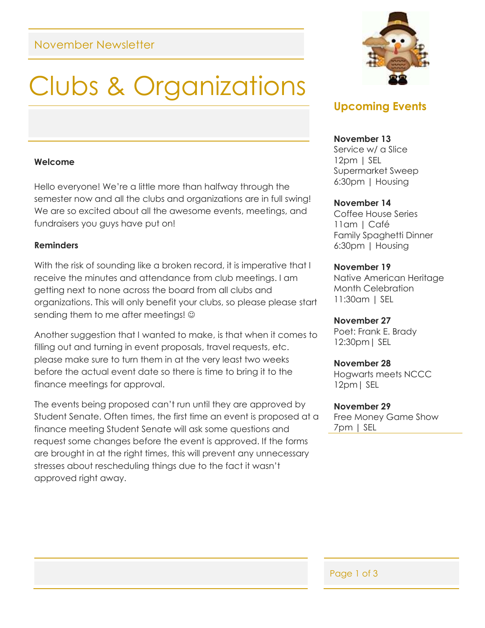## November Newsletter

# Clubs & Organizations

#### **Welcome**

Hello everyone! We're a little more than halfway through the semester now and all the clubs and organizations are in full swing! We are so excited about all the awesome events, meetings, and fundraisers you guys have put on!

#### **Reminders**

With the risk of sounding like a broken record, it is imperative that I receive the minutes and attendance from club meetings. I am getting next to none across the board from all clubs and organizations. This will only benefit your clubs, so please please start sending them to me after meetings! ©

Another suggestion that I wanted to make, is that when it comes to filling out and turning in event proposals, travel requests, etc. please make sure to turn them in at the very least two weeks before the actual event date so there is time to bring it to the finance meetings for approval.

The events being proposed can't run until they are approved by Student Senate. Often times, the first time an event is proposed at a finance meeting Student Senate will ask some questions and request some changes before the event is approved. If the forms are brought in at the right times, this will prevent any unnecessary stresses about rescheduling things due to the fact it wasn't approved right away.



## **Upcoming Events**

#### **November 13**

Service w/ a Slice 12pm | SEL Supermarket Sweep 6:30pm | Housing

#### **November 14**

Coffee House Series 11am | Café Family Spaghetti Dinner 6:30pm | Housing

#### **November 19**

Native American Heritage Month Celebration 11:30am | SEL

#### **November 27**

Poet: Frank E. Brady 12:30pm| SEL

#### **November 28**

Hogwarts meets NCCC 12pm| SEL

#### **November 29**

Free Money Game Show 7pm | SEL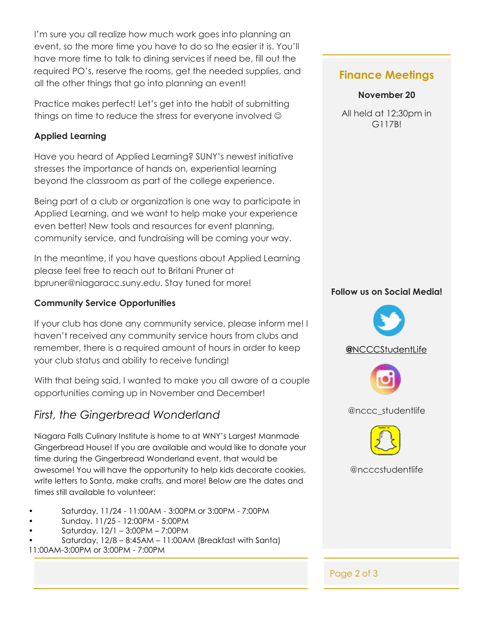I'm sure you all realize how much work goes into planning an event, so the more time you have to do so the easier it is. You'll have more time to talk to dining services if need be, fill out the required PO's, reserve the rooms, get the needed supplies, and all the other things that go into planning an event!

Practice makes perfect! Let's get into the habit of submitting things on time to reduce the stress for everyone involved  $\odot$ 

### **Applied Learning**

Have you heard of Applied Learning? SUNY's newest initiative stresses the importance of hands on, experiential learning beyond the classroom as part of the college experience.

Being part of a club or organization is one way to participate in Applied Learning, and we want to help make your experience even better! New tools and resources for event planning, community service, and fundraising will be coming your way.

In the meantime, if you have questions about Applied Learning please feel free to reach out to Britani Pruner at bpruner@niagaracc.suny.edu. Stay tuned for more!

## **Community Service Opportunities**

If your club has done any community service, please inform me! I haven't received any community service hours from clubs and remember, there is a required amount of hours in order to keep your club status and ability to receive funding!

With that being said, I wanted to make you all aware of a couple opportunities coming up in November and December!

# *First, the Gingerbread Wonderland*

Niagara Falls Culinary Institute is home to at WNY's Largest Manmade Gingerbread House! If you are available and would like to donate your time during the Gingerbread Wonderland event, that would be awesome! You will have the opportunity to help kids decorate cookies, write letters to Santa, make crafts, and more! Below are the dates and times still available to volunteer:

- Saturday, 11/24 11:00AM 3:00PM or 3:00PM 7:00PM
- Sunday, 11/25 12:00PM 5:00PM
- Saturday, 12/1 3:00PM 7:00PM
- Saturday, 12/8 8:45AM 11:00AM (Breakfast with Santa)
- 11:00AM-3:00PM or 3:00PM 7:00PM

# **Finance Meetings**

## **November 20**

All held at 12:30pm in G117B!

## **Follow us on Social Media!**



@ncccstudentlife